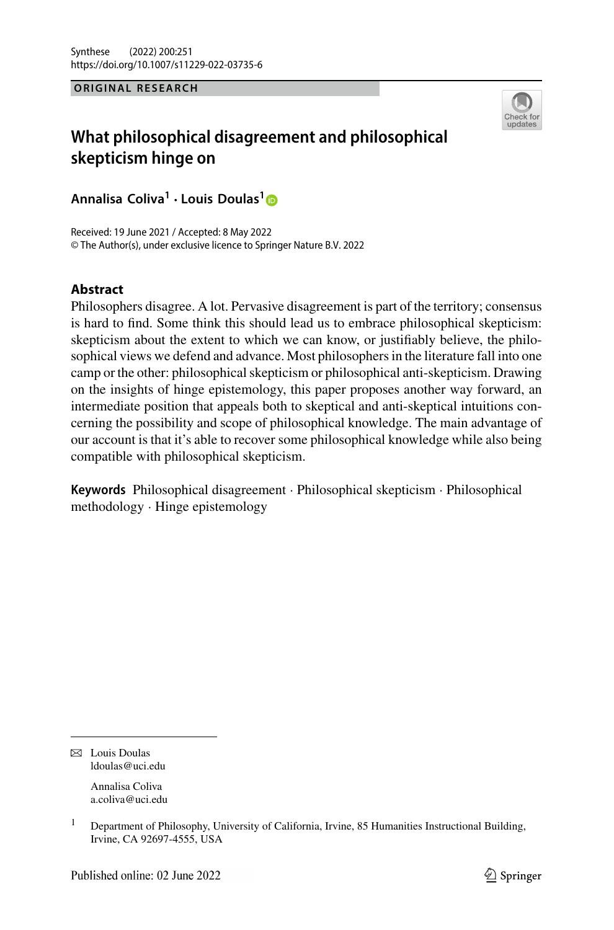#### **ORIGINAL RESEARCH**



# **What philosophical disagreement and philosophical skepticism hinge on**

**Annalisa Coliva1 · Louis Doulas[1](http://orcid.org/0000-0002-6810-8347)**

Received: 19 June 2021 / Accepted: 8 May 2022 © The Author(s), under exclusive licence to Springer Nature B.V. 2022

## **Abstract**

Philosophers disagree. A lot. Pervasive disagreement is part of the territory; consensus is hard to find. Some think this should lead us to embrace philosophical skepticism: skepticism about the extent to which we can know, or justifiably believe, the philosophical views we defend and advance. Most philosophers in the literature fall into one camp or the other: philosophical skepticism or philosophical anti-skepticism. Drawing on the insights of hinge epistemology, this paper proposes another way forward, an intermediate position that appeals both to skeptical and anti-skeptical intuitions concerning the possibility and scope of philosophical knowledge. The main advantage of our account is that it's able to recover some philosophical knowledge while also being compatible with philosophical skepticism.

**Keywords** Philosophical disagreement · Philosophical skepticism · Philosophical methodology · Hinge epistemology

 $\boxtimes$  Louis Doulas ldoulas@uci.edu

> Annalisa Coliva a.coliva@uci.edu

<sup>&</sup>lt;sup>1</sup> Department of Philosophy, University of California, Irvine, 85 Humanities Instructional Building, Irvine, CA 92697-4555, USA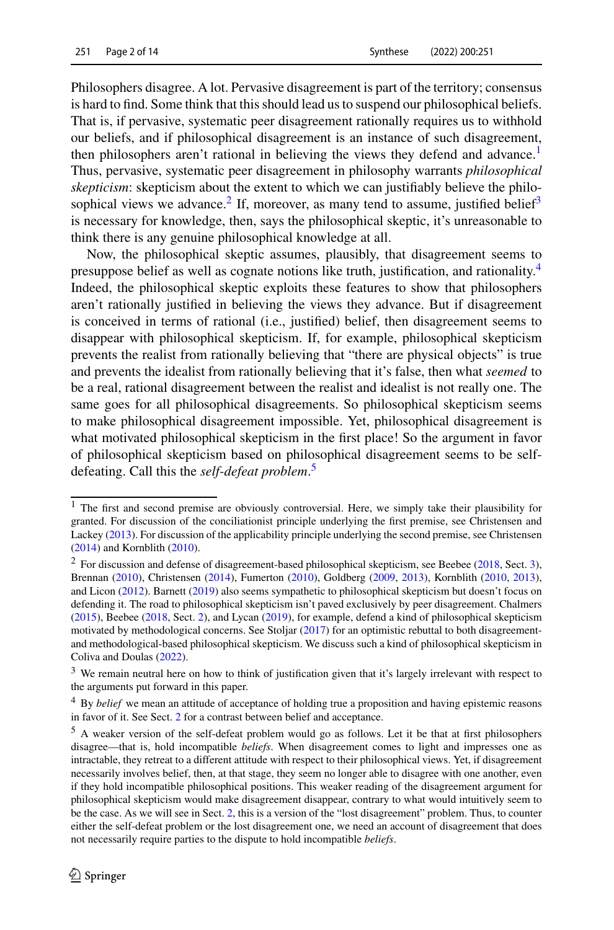Philosophers disagree. A lot. Pervasive disagreement is part of the territory; consensus is hard to find. Some think that this should lead us to suspend our philosophical beliefs. That is, if pervasive, systematic peer disagreement rationally requires us to withhold our beliefs, and if philosophical disagreement is an instance of such disagreement, then philosophers aren't rational in believing the views they defend and advance.<sup>1</sup> Thus, pervasive, systematic peer disagreement in philosophy warrants *philosophical skepticism*: skepticism about the extent to which we can justifiably believe the philo-sophical views we advance.<sup>[2](#page-1-1)</sup> If, moreover, as many tend to assume, justified belief<sup>3</sup> is necessary for knowledge, then, says the philosophical skeptic, it's unreasonable to think there is any genuine philosophical knowledge at all.

Now, the philosophical skeptic assumes, plausibly, that disagreement seems to presuppose belief as well as cognate notions like truth, justification, and rationality[.4](#page-1-3) Indeed, the philosophical skeptic exploits these features to show that philosophers aren't rationally justified in believing the views they advance. But if disagreement is conceived in terms of rational (i.e., justified) belief, then disagreement seems to disappear with philosophical skepticism. If, for example, philosophical skepticism prevents the realist from rationally believing that "there are physical objects" is true and prevents the idealist from rationally believing that it's false, then what *seemed* to be a real, rational disagreement between the realist and idealist is not really one. The same goes for all philosophical disagreements. So philosophical skepticism seems to make philosophical disagreement impossible. Yet, philosophical disagreement is what motivated philosophical skepticism in the first place! So the argument in favor of philosophical skepticism based on philosophical disagreement seems to be selfdefeating. Call this the *self-defeat problem*. [5](#page-1-4)

<span id="page-1-0"></span><sup>&</sup>lt;sup>1</sup> The first and second premise are obviously controversial. Here, we simply take their plausibility for granted. For discussion of the conciliationist principle underlying the first premise, see Christensen and Lackey [\(2013\)](#page-12-0). For discussion of the applicability principle underlying the second premise, see Christensen [\(2014\)](#page-12-1) and Kornblith [\(2010\)](#page-13-0).

<span id="page-1-1"></span><sup>&</sup>lt;sup>2</sup> For discussion and defense of disagreement-based philosophical skepticism, see Beebee [\(2018,](#page-12-2) Sect. [3\)](#page-7-0), Brennan [\(2010\)](#page-12-3), Christensen [\(2014\)](#page-12-1), Fumerton [\(2010\)](#page-12-4), Goldberg [\(2009,](#page-12-5) [2013\)](#page-13-1), Kornblith [\(2010,](#page-13-0) [2013\)](#page-13-2), and Licon [\(2012\)](#page-13-3). Barnett [\(2019\)](#page-12-6) also seems sympathetic to philosophical skepticism but doesn't focus on defending it. The road to philosophical skepticism isn't paved exclusively by peer disagreement. Chalmers [\(2015\)](#page-12-7), Beebee [\(2018,](#page-12-2) Sect. [2\)](#page-4-0), and Lycan [\(2019\)](#page-13-4), for example, defend a kind of philosophical skepticism motivated by methodological concerns. See Stoljar [\(2017\)](#page-13-5) for an optimistic rebuttal to both disagreementand methodological-based philosophical skepticism. We discuss such a kind of philosophical skepticism in Coliva and Doulas [\(2022\)](#page-12-8).

<span id="page-1-3"></span><span id="page-1-2"></span><sup>3</sup> We remain neutral here on how to think of justification given that it's largely irrelevant with respect to the arguments put forward in this paper.

<span id="page-1-4"></span><sup>4</sup> By *belief* we mean an attitude of acceptance of holding true a proposition and having epistemic reasons in favor of it. See Sect. [2](#page-4-0) for a contrast between belief and acceptance.

<sup>5</sup> A weaker version of the self-defeat problem would go as follows. Let it be that at first philosophers disagree—that is, hold incompatible *beliefs*. When disagreement comes to light and impresses one as intractable, they retreat to a different attitude with respect to their philosophical views. Yet, if disagreement necessarily involves belief, then, at that stage, they seem no longer able to disagree with one another, even if they hold incompatible philosophical positions. This weaker reading of the disagreement argument for philosophical skepticism would make disagreement disappear, contrary to what would intuitively seem to be the case. As we will see in Sect. [2,](#page-4-0) this is a version of the "lost disagreement" problem. Thus, to counter either the self-defeat problem or the lost disagreement one, we need an account of disagreement that does not necessarily require parties to the dispute to hold incompatible *beliefs*.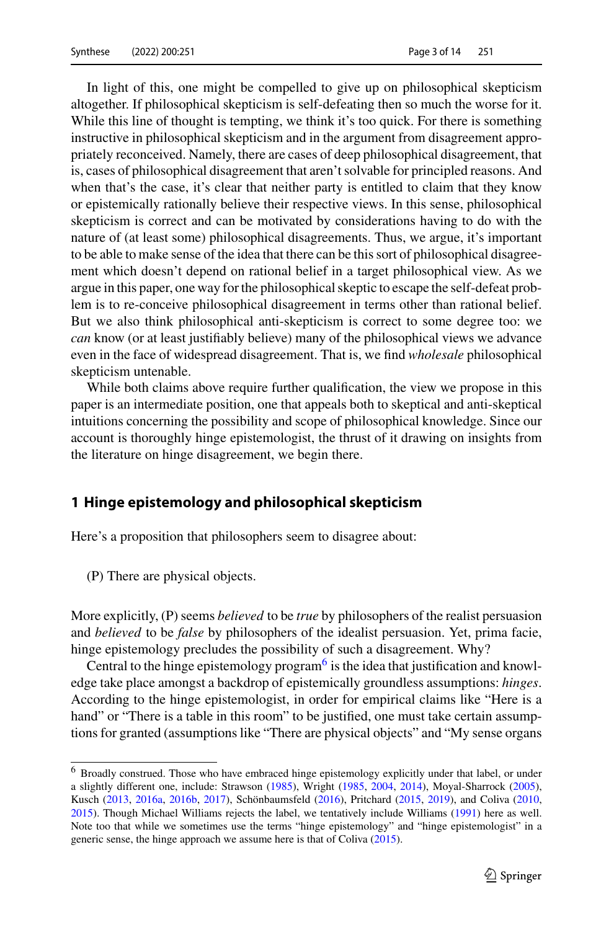In light of this, one might be compelled to give up on philosophical skepticism altogether. If philosophical skepticism is self-defeating then so much the worse for it. While this line of thought is tempting, we think it's too quick. For there is something instructive in philosophical skepticism and in the argument from disagreement appropriately reconceived. Namely, there are cases of deep philosophical disagreement, that is, cases of philosophical disagreement that aren't solvable for principled reasons. And when that's the case, it's clear that neither party is entitled to claim that they know or epistemically rationally believe their respective views. In this sense, philosophical skepticism is correct and can be motivated by considerations having to do with the nature of (at least some) philosophical disagreements. Thus, we argue, it's important to be able to make sense of the idea that there can be this sort of philosophical disagreement which doesn't depend on rational belief in a target philosophical view. As we argue in this paper, one way for the philosophical skeptic to escape the self-defeat problem is to re-conceive philosophical disagreement in terms other than rational belief. But we also think philosophical anti-skepticism is correct to some degree too: we *can* know (or at least justifiably believe) many of the philosophical views we advance even in the face of widespread disagreement. That is, we find *wholesale* philosophical skepticism untenable.

While both claims above require further qualification, the view we propose in this paper is an intermediate position, one that appeals both to skeptical and anti-skeptical intuitions concerning the possibility and scope of philosophical knowledge. Since our account is thoroughly hinge epistemologist, the thrust of it drawing on insights from the literature on hinge disagreement, we begin there.

### <span id="page-2-1"></span>**1 Hinge epistemology and philosophical skepticism**

Here's a proposition that philosophers seem to disagree about:

(P) There are physical objects.

More explicitly, (P) seems *believed* to be *true* by philosophers of the realist persuasion and *believed* to be *false* by philosophers of the idealist persuasion. Yet, prima facie, hinge epistemology precludes the possibility of such a disagreement. Why?

Central to the hinge epistemology program<sup>6</sup> is the idea that justification and knowledge take place amongst a backdrop of epistemically groundless assumptions: *hinges*. According to the hinge epistemologist, in order for empirical claims like "Here is a hand" or "There is a table in this room" to be justified, one must take certain assumptions for granted (assumptions like "There are physical objects" and "My sense organs

<span id="page-2-0"></span><sup>&</sup>lt;sup>6</sup> Broadly construed. Those who have embraced hinge epistemology explicitly under that label, or under a slightly different one, include: Strawson [\(1985\)](#page-13-6), Wright [\(1985,](#page-13-7) [2004,](#page-13-8) [2014\)](#page-13-9), Moyal-Sharrock [\(2005\)](#page-13-10), Kusch [\(2013,](#page-13-11) [2016a,](#page-13-12) [2016b,](#page-13-13) [2017\)](#page-13-14), Schönbaumsfeld [\(2016\)](#page-13-15), Pritchard [\(2015,](#page-13-16) [2019\)](#page-13-17), and Coliva [\(2010,](#page-12-9) [2015\)](#page-12-10). Though Michael Williams rejects the label, we tentatively include Williams [\(1991\)](#page-13-18) here as well. Note too that while we sometimes use the terms "hinge epistemology" and "hinge epistemologist" in a generic sense, the hinge approach we assume here is that of Coliva [\(2015\)](#page-12-10).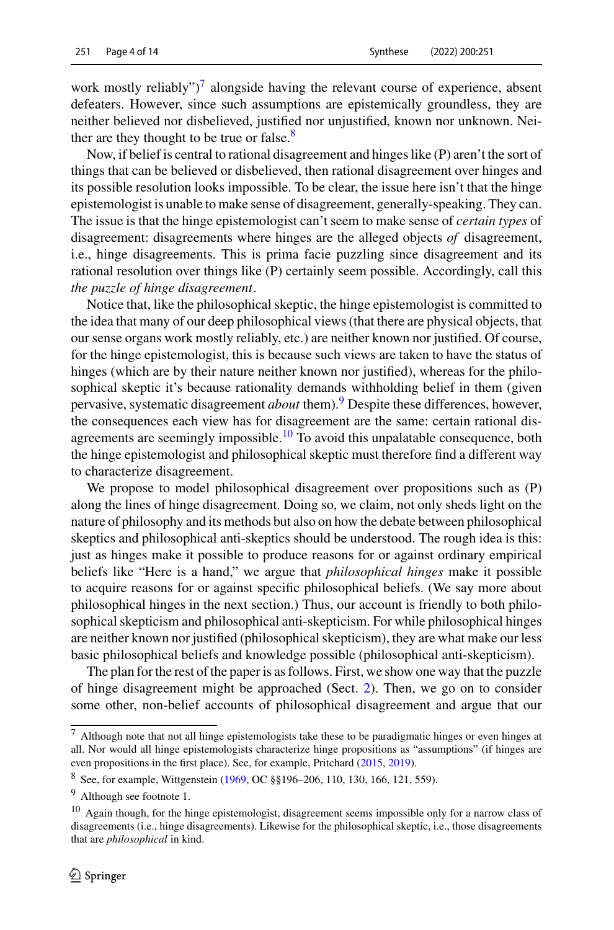work mostly reliably")<sup>7</sup> alongside having the relevant course of experience, absent defeaters. However, since such assumptions are epistemically groundless, they are neither believed nor disbelieved, justified nor unjustified, known nor unknown. Neither are they thought to be true or false. $8$ 

Now, if belief is central to rational disagreement and hinges like (P) aren't the sort of things that can be believed or disbelieved, then rational disagreement over hinges and its possible resolution looks impossible. To be clear, the issue here isn't that the hinge epistemologist is unable to make sense of disagreement, generally-speaking. They can. The issue is that the hinge epistemologist can't seem to make sense of *certain types* of disagreement: disagreements where hinges are the alleged objects *of* disagreement, i.e., hinge disagreements. This is prima facie puzzling since disagreement and its rational resolution over things like (P) certainly seem possible. Accordingly, call this *the puzzle of hinge disagreement*.

Notice that, like the philosophical skeptic, the hinge epistemologist is committed to the idea that many of our deep philosophical views (that there are physical objects, that our sense organs work mostly reliably, etc.) are neither known nor justified. Of course, for the hinge epistemologist, this is because such views are taken to have the status of hinges (which are by their nature neither known nor justified), whereas for the philosophical skeptic it's because rationality demands withholding belief in them (given pervasive, systematic disagreement *about* them)[.9](#page-3-2) Despite these differences, however, the consequences each view has for disagreement are the same: certain rational disagreements are seemingly impossible.<sup>10</sup> To avoid this unpalatable consequence, both the hinge epistemologist and philosophical skeptic must therefore find a different way to characterize disagreement.

We propose to model philosophical disagreement over propositions such as (P) along the lines of hinge disagreement. Doing so, we claim, not only sheds light on the nature of philosophy and its methods but also on how the debate between philosophical skeptics and philosophical anti-skeptics should be understood. The rough idea is this: just as hinges make it possible to produce reasons for or against ordinary empirical beliefs like "Here is a hand," we argue that *philosophical hinges* make it possible to acquire reasons for or against specific philosophical beliefs. (We say more about philosophical hinges in the next section.) Thus, our account is friendly to both philosophical skepticism and philosophical anti-skepticism. For while philosophical hinges are neither known nor justified (philosophical skepticism), they are what make our less basic philosophical beliefs and knowledge possible (philosophical anti-skepticism).

The plan for the rest of the paper is as follows. First, we show one way that the puzzle of hinge disagreement might be approached (Sect. [2\)](#page-4-0). Then, we go on to consider some other, non-belief accounts of philosophical disagreement and argue that our

<span id="page-3-0"></span><sup>7</sup> Although note that not all hinge epistemologists take these to be paradigmatic hinges or even hinges at all. Nor would all hinge epistemologists characterize hinge propositions as "assumptions" (if hinges are even propositions in the first place). See, for example, Pritchard [\(2015,](#page-13-16) [2019\)](#page-13-17).

<span id="page-3-2"></span><span id="page-3-1"></span><sup>8</sup> See, for example, Wittgenstein [\(1969,](#page-13-19) OC §§196–206, 110, 130, 166, 121, 559).

<span id="page-3-3"></span><sup>9</sup> Although see footnote 1.

<sup>10</sup> Again though, for the hinge epistemologist, disagreement seems impossible only for a narrow class of disagreements (i.e., hinge disagreements). Likewise for the philosophical skeptic, i.e., those disagreements that are *philosophical* in kind.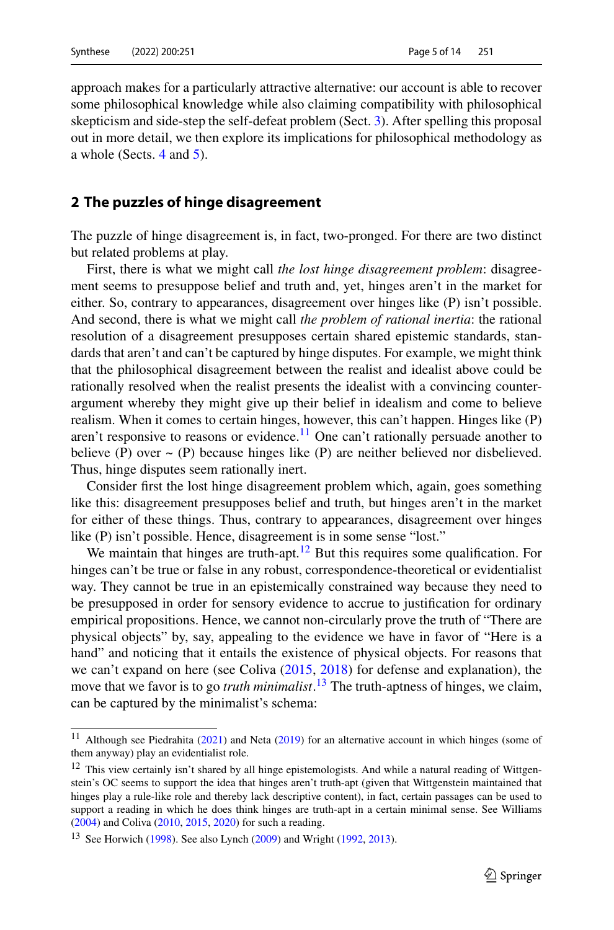approach makes for a particularly attractive alternative: our account is able to recover some philosophical knowledge while also claiming compatibility with philosophical skepticism and side-step the self-defeat problem (Sect. [3\)](#page-7-0). After spelling this proposal out in more detail, we then explore its implications for philosophical methodology as a whole (Sects. [4](#page-9-0) and [5\)](#page-11-0).

#### <span id="page-4-0"></span>**2 The puzzles of hinge disagreement**

The puzzle of hinge disagreement is, in fact, two-pronged. For there are two distinct but related problems at play.

First, there is what we might call *the lost hinge disagreement problem*: disagreement seems to presuppose belief and truth and, yet, hinges aren't in the market for either. So, contrary to appearances, disagreement over hinges like (P) isn't possible. And second, there is what we might call *the problem of rational inertia*: the rational resolution of a disagreement presupposes certain shared epistemic standards, standards that aren't and can't be captured by hinge disputes. For example, we might think that the philosophical disagreement between the realist and idealist above could be rationally resolved when the realist presents the idealist with a convincing counterargument whereby they might give up their belief in idealism and come to believe realism. When it comes to certain hinges, however, this can't happen. Hinges like (P) aren't responsive to reasons or evidence.<sup>[11](#page-4-1)</sup> One can't rationally persuade another to believe (P) over  $\sim$  (P) because hinges like (P) are neither believed nor disbelieved. Thus, hinge disputes seem rationally inert.

Consider first the lost hinge disagreement problem which, again, goes something like this: disagreement presupposes belief and truth, but hinges aren't in the market for either of these things. Thus, contrary to appearances, disagreement over hinges like (P) isn't possible. Hence, disagreement is in some sense "lost."

We maintain that hinges are truth-apt.<sup>12</sup> But this requires some qualification. For hinges can't be true or false in any robust, correspondence-theoretical or evidentialist way. They cannot be true in an epistemically constrained way because they need to be presupposed in order for sensory evidence to accrue to justification for ordinary empirical propositions. Hence, we cannot non-circularly prove the truth of "There are physical objects" by, say, appealing to the evidence we have in favor of "Here is a hand" and noticing that it entails the existence of physical objects. For reasons that we can't expand on here (see Coliva [\(2015,](#page-12-10) [2018\)](#page-12-11) for defense and explanation), the move that we favor is to go *truth minimalist*. [13](#page-4-3) The truth-aptness of hinges, we claim, can be captured by the minimalist's schema:

<span id="page-4-2"></span><span id="page-4-1"></span><sup>&</sup>lt;sup>11</sup> Although see Piedrahita [\(2021\)](#page-13-20) and Neta [\(2019\)](#page-13-21) for an alternative account in which hinges (some of them anyway) play an evidentialist role.

<sup>&</sup>lt;sup>12</sup> This view certainly isn't shared by all hinge epistemologists. And while a natural reading of Wittgenstein's OC seems to support the idea that hinges aren't truth-apt (given that Wittgenstein maintained that hinges play a rule-like role and thereby lack descriptive content), in fact, certain passages can be used to support a reading in which he does think hinges are truth-apt in a certain minimal sense. See Williams [\(2004\)](#page-13-22) and Coliva [\(2010,](#page-12-9) [2015,](#page-12-10) [2020\)](#page-12-12) for such a reading.

<span id="page-4-3"></span><sup>&</sup>lt;sup>13</sup> See Horwich [\(1998\)](#page-13-23). See also Lynch [\(2009\)](#page-13-24) and Wright [\(1992,](#page-13-25) [2013\)](#page-13-26).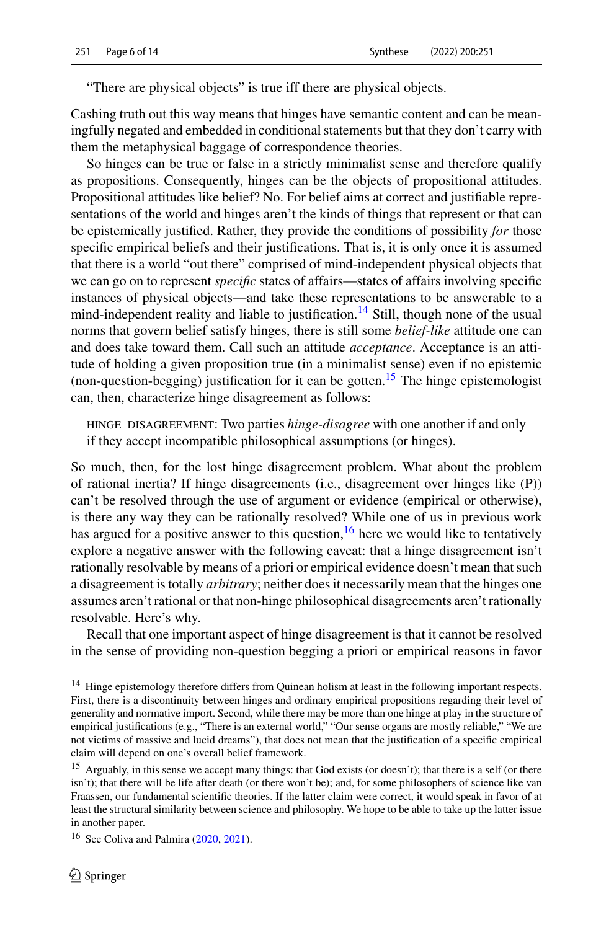"There are physical objects" is true iff there are physical objects.

Cashing truth out this way means that hinges have semantic content and can be meaningfully negated and embedded in conditional statements but that they don't carry with them the metaphysical baggage of correspondence theories.

So hinges can be true or false in a strictly minimalist sense and therefore qualify as propositions. Consequently, hinges can be the objects of propositional attitudes. Propositional attitudes like belief? No. For belief aims at correct and justifiable representations of the world and hinges aren't the kinds of things that represent or that can be epistemically justified. Rather, they provide the conditions of possibility *for* those specific empirical beliefs and their justifications. That is, it is only once it is assumed that there is a world "out there" comprised of mind-independent physical objects that we can go on to represent *specific* states of affairs—states of affairs involving specific instances of physical objects—and take these representations to be answerable to a mind-independent reality and liable to justification.<sup>[14](#page-5-0)</sup> Still, though none of the usual norms that govern belief satisfy hinges, there is still some *belief-like* attitude one can and does take toward them. Call such an attitude *acceptance*. Acceptance is an attitude of holding a given proposition true (in a minimalist sense) even if no epistemic (non-question-begging) justification for it can be gotten.<sup>[15](#page-5-1)</sup> The hinge epistemologist can, then, characterize hinge disagreement as follows:

hinge disagreement: Two parties *hinge-disagree* with one another if and only if they accept incompatible philosophical assumptions (or hinges).

So much, then, for the lost hinge disagreement problem. What about the problem of rational inertia? If hinge disagreements (i.e., disagreement over hinges like (P)) can't be resolved through the use of argument or evidence (empirical or otherwise), is there any way they can be rationally resolved? While one of us in previous work has argued for a positive answer to this question,  $16$  here we would like to tentatively explore a negative answer with the following caveat: that a hinge disagreement isn't rationally resolvable by means of a priori or empirical evidence doesn't mean that such a disagreement is totally *arbitrary*; neither does it necessarily mean that the hinges one assumes aren't rational or that non-hinge philosophical disagreements aren't rationally resolvable. Here's why.

Recall that one important aspect of hinge disagreement is that it cannot be resolved in the sense of providing non-question begging a priori or empirical reasons in favor

<span id="page-5-0"></span><sup>&</sup>lt;sup>14</sup> Hinge epistemology therefore differs from Quinean holism at least in the following important respects. First, there is a discontinuity between hinges and ordinary empirical propositions regarding their level of generality and normative import. Second, while there may be more than one hinge at play in the structure of empirical justifications (e.g., "There is an external world," "Our sense organs are mostly reliable," "We are not victims of massive and lucid dreams"), that does not mean that the justification of a specific empirical claim will depend on one's overall belief framework.

<span id="page-5-1"></span><sup>&</sup>lt;sup>15</sup> Arguably, in this sense we accept many things: that God exists (or doesn't); that there is a self (or there isn't); that there will be life after death (or there won't be); and, for some philosophers of science like van Fraassen, our fundamental scientific theories. If the latter claim were correct, it would speak in favor of at least the structural similarity between science and philosophy. We hope to be able to take up the latter issue in another paper.

<span id="page-5-2"></span><sup>&</sup>lt;sup>16</sup> See Coliva and Palmira [\(2020,](#page-12-13) [2021\)](#page-12-14).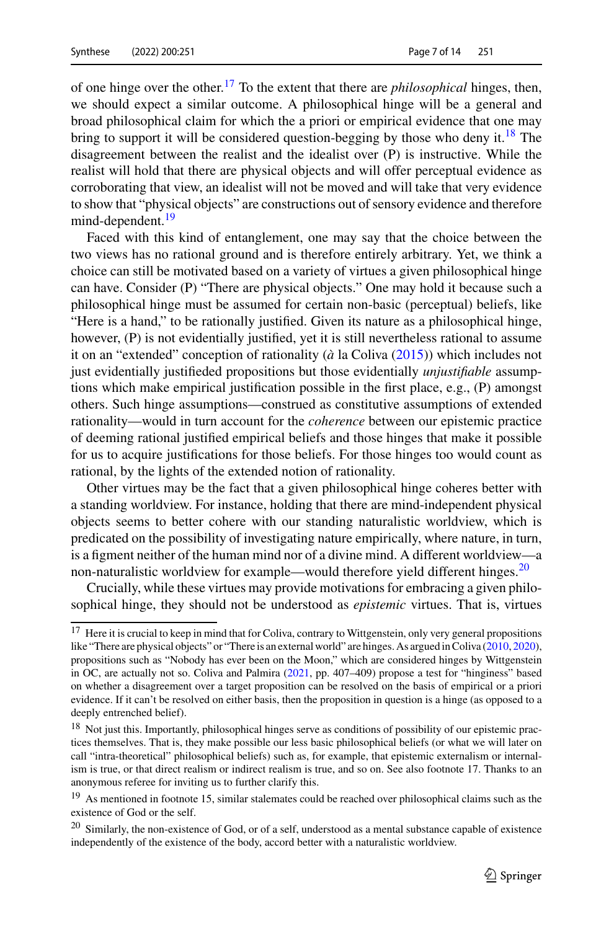of one hinge over the other.[17](#page-6-0) To the extent that there are *philosophical* hinges, then, we should expect a similar outcome. A philosophical hinge will be a general and broad philosophical claim for which the a priori or empirical evidence that one may bring to support it will be considered question-begging by those who deny it.<sup>[18](#page-6-1)</sup> The disagreement between the realist and the idealist over (P) is instructive. While the realist will hold that there are physical objects and will offer perceptual evidence as corroborating that view, an idealist will not be moved and will take that very evidence to show that "physical objects" are constructions out of sensory evidence and therefore mind-dependent.<sup>19</sup>

Faced with this kind of entanglement, one may say that the choice between the two views has no rational ground and is therefore entirely arbitrary. Yet, we think a choice can still be motivated based on a variety of virtues a given philosophical hinge can have. Consider (P) "There are physical objects." One may hold it because such a philosophical hinge must be assumed for certain non-basic (perceptual) beliefs, like "Here is a hand," to be rationally justified. Given its nature as a philosophical hinge, however, (P) is not evidentially justified, yet it is still nevertheless rational to assume it on an "extended" conception of rationality (*à* la Coliva [\(2015\)](#page-12-10)) which includes not just evidentially justifieded propositions but those evidentially *unjustifiable* assumptions which make empirical justification possible in the first place, e.g., (P) amongst others. Such hinge assumptions—construed as constitutive assumptions of extended rationality—would in turn account for the *coherence* between our epistemic practice of deeming rational justified empirical beliefs and those hinges that make it possible for us to acquire justifications for those beliefs. For those hinges too would count as rational, by the lights of the extended notion of rationality.

Other virtues may be the fact that a given philosophical hinge coheres better with a standing worldview. For instance, holding that there are mind-independent physical objects seems to better cohere with our standing naturalistic worldview, which is predicated on the possibility of investigating nature empirically, where nature, in turn, is a figment neither of the human mind nor of a divine mind. A different worldview—a non-naturalistic worldview for example—would therefore yield different hinges. $^{20}$ 

Crucially, while these virtues may provide motivations for embracing a given philosophical hinge, they should not be understood as *epistemic* virtues. That is, virtues

<span id="page-6-0"></span><sup>&</sup>lt;sup>17</sup> Here it is crucial to keep in mind that for Coliva, contrary to Wittgenstein, only very general propositions like "There are physical objects" or "There is an external world" are hinges. As argued in Coliva [\(2010,](#page-12-9) [2020\)](#page-12-12), propositions such as "Nobody has ever been on the Moon," which are considered hinges by Wittgenstein in OC, are actually not so. Coliva and Palmira [\(2021,](#page-12-14) pp. 407–409) propose a test for "hinginess" based on whether a disagreement over a target proposition can be resolved on the basis of empirical or a priori evidence. If it can't be resolved on either basis, then the proposition in question is a hinge (as opposed to a deeply entrenched belief).

<span id="page-6-1"></span><sup>&</sup>lt;sup>18</sup> Not just this. Importantly, philosophical hinges serve as conditions of possibility of our epistemic practices themselves. That is, they make possible our less basic philosophical beliefs (or what we will later on call "intra-theoretical" philosophical beliefs) such as, for example, that epistemic externalism or internalism is true, or that direct realism or indirect realism is true, and so on. See also footnote 17. Thanks to an anonymous referee for inviting us to further clarify this.

<span id="page-6-3"></span><span id="page-6-2"></span><sup>&</sup>lt;sup>19</sup> As mentioned in footnote 15, similar stalemates could be reached over philosophical claims such as the existence of God or the self.

<sup>&</sup>lt;sup>20</sup> Similarly, the non-existence of God, or of a self, understood as a mental substance capable of existence independently of the existence of the body, accord better with a naturalistic worldview.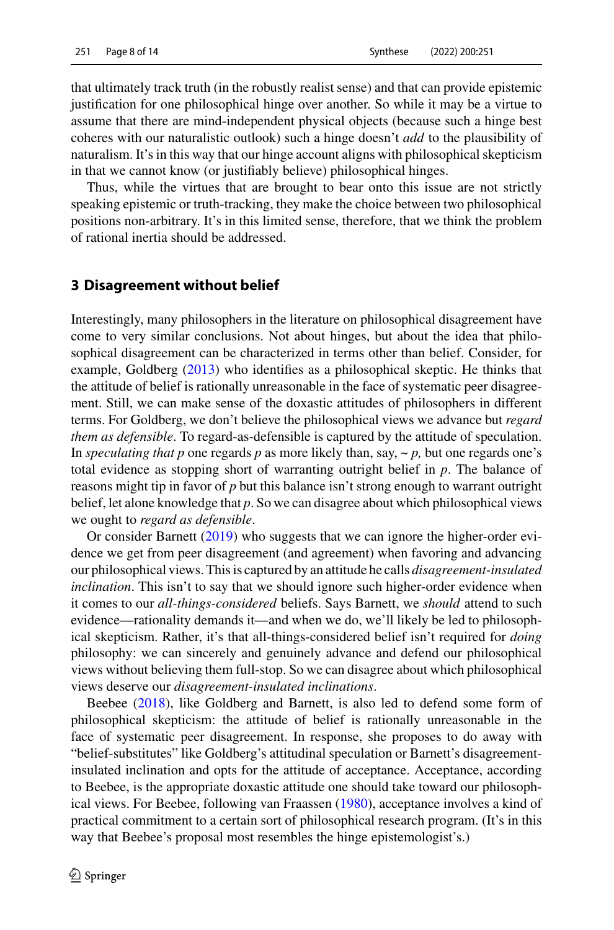that ultimately track truth (in the robustly realist sense) and that can provide epistemic justification for one philosophical hinge over another. So while it may be a virtue to assume that there are mind-independent physical objects (because such a hinge best coheres with our naturalistic outlook) such a hinge doesn't *add* to the plausibility of naturalism. It's in this way that our hinge account aligns with philosophical skepticism in that we cannot know (or justifiably believe) philosophical hinges.

Thus, while the virtues that are brought to bear onto this issue are not strictly speaking epistemic or truth-tracking, they make the choice between two philosophical positions non-arbitrary. It's in this limited sense, therefore, that we think the problem of rational inertia should be addressed.

#### <span id="page-7-0"></span>**3 Disagreement without belief**

Interestingly, many philosophers in the literature on philosophical disagreement have come to very similar conclusions. Not about hinges, but about the idea that philosophical disagreement can be characterized in terms other than belief. Consider, for example, Goldberg [\(2013\)](#page-13-1) who identifies as a philosophical skeptic. He thinks that the attitude of belief is rationally unreasonable in the face of systematic peer disagreement. Still, we can make sense of the doxastic attitudes of philosophers in different terms. For Goldberg, we don't believe the philosophical views we advance but *regard them as defensible*. To regard-as-defensible is captured by the attitude of speculation. In *speculating that p* one regards *p* as more likely than, say,  $\sim p$ , but one regards one's total evidence as stopping short of warranting outright belief in *p*. The balance of reasons might tip in favor of *p* but this balance isn't strong enough to warrant outright belief, let alone knowledge that *p*. So we can disagree about which philosophical views we ought to *regard as defensible*.

Or consider Barnett [\(2019\)](#page-12-6) who suggests that we can ignore the higher-order evidence we get from peer disagreement (and agreement) when favoring and advancing our philosophical views. This is captured by an attitude he calls *disagreement-insulated inclination*. This isn't to say that we should ignore such higher-order evidence when it comes to our *all-things-considered* beliefs. Says Barnett, we *should* attend to such evidence—rationality demands it—and when we do, we'll likely be led to philosophical skepticism. Rather, it's that all-things-considered belief isn't required for *doing* philosophy: we can sincerely and genuinely advance and defend our philosophical views without believing them full-stop. So we can disagree about which philosophical views deserve our *disagreement-insulated inclinations*.

Beebee [\(2018\)](#page-12-2), like Goldberg and Barnett, is also led to defend some form of philosophical skepticism: the attitude of belief is rationally unreasonable in the face of systematic peer disagreement. In response, she proposes to do away with "belief-substitutes" like Goldberg's attitudinal speculation or Barnett's disagreementinsulated inclination and opts for the attitude of acceptance. Acceptance, according to Beebee, is the appropriate doxastic attitude one should take toward our philosophical views. For Beebee, following van Fraassen [\(1980\)](#page-13-27), acceptance involves a kind of practical commitment to a certain sort of philosophical research program. (It's in this way that Beebee's proposal most resembles the hinge epistemologist's.)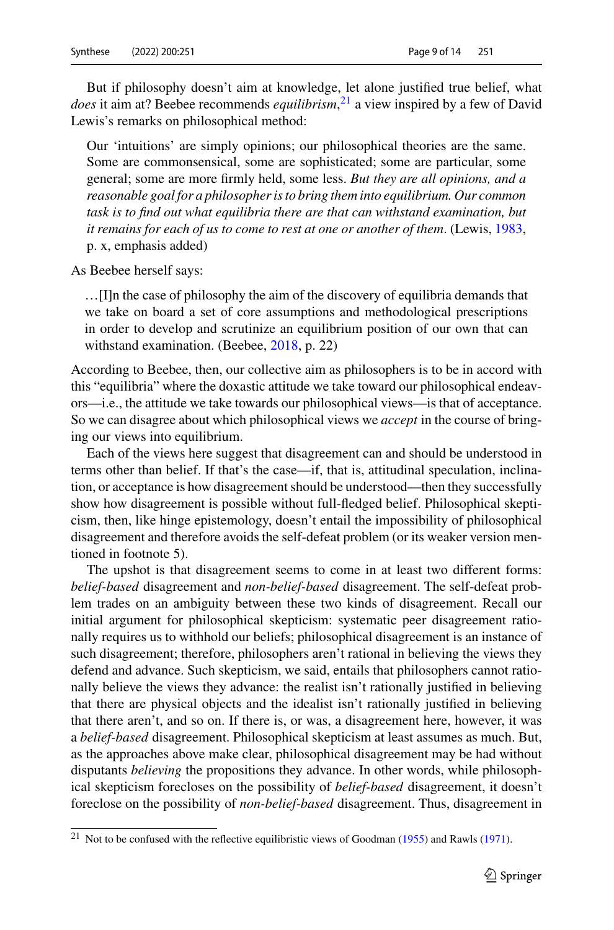But if philosophy doesn't aim at knowledge, let alone justified true belief, what *does* it aim at? Beebee recommends *equilibrism*, [21](#page-8-0) a view inspired by a few of David Lewis's remarks on philosophical method:

Our 'intuitions' are simply opinions; our philosophical theories are the same. Some are commonsensical, some are sophisticated; some are particular, some general; some are more firmly held, some less. *But they are all opinions, and a reasonable goal for a philosopher is to bring them into equilibrium. Our common task is to find out what equilibria there are that can withstand examination, but it remains for each of us to come to rest at one or another of them*. (Lewis, [1983,](#page-13-28) p. x, emphasis added)

As Beebee herself says:

…[I]n the case of philosophy the aim of the discovery of equilibria demands that we take on board a set of core assumptions and methodological prescriptions in order to develop and scrutinize an equilibrium position of our own that can withstand examination. (Beebee, [2018,](#page-12-2) p. 22)

According to Beebee, then, our collective aim as philosophers is to be in accord with this "equilibria" where the doxastic attitude we take toward our philosophical endeavors—i.e., the attitude we take towards our philosophical views—is that of acceptance. So we can disagree about which philosophical views we *accept* in the course of bringing our views into equilibrium.

Each of the views here suggest that disagreement can and should be understood in terms other than belief. If that's the case—if, that is, attitudinal speculation, inclination, or acceptance is how disagreement should be understood—then they successfully show how disagreement is possible without full-fledged belief. Philosophical skepticism, then, like hinge epistemology, doesn't entail the impossibility of philosophical disagreement and therefore avoids the self-defeat problem (or its weaker version mentioned in footnote 5).

The upshot is that disagreement seems to come in at least two different forms: *belief-based* disagreement and *non-belief-based* disagreement. The self-defeat problem trades on an ambiguity between these two kinds of disagreement. Recall our initial argument for philosophical skepticism: systematic peer disagreement rationally requires us to withhold our beliefs; philosophical disagreement is an instance of such disagreement; therefore, philosophers aren't rational in believing the views they defend and advance. Such skepticism, we said, entails that philosophers cannot rationally believe the views they advance: the realist isn't rationally justified in believing that there are physical objects and the idealist isn't rationally justified in believing that there aren't, and so on. If there is, or was, a disagreement here, however, it was a *belief-based* disagreement. Philosophical skepticism at least assumes as much. But, as the approaches above make clear, philosophical disagreement may be had without disputants *believing* the propositions they advance. In other words, while philosophical skepticism forecloses on the possibility of *belief-based* disagreement, it doesn't foreclose on the possibility of *non-belief-based* disagreement. Thus, disagreement in

<span id="page-8-0"></span><sup>&</sup>lt;sup>21</sup> Not to be confused with the reflective equilibristic views of Goodman [\(1955\)](#page-13-29) and Rawls [\(1971\)](#page-13-30).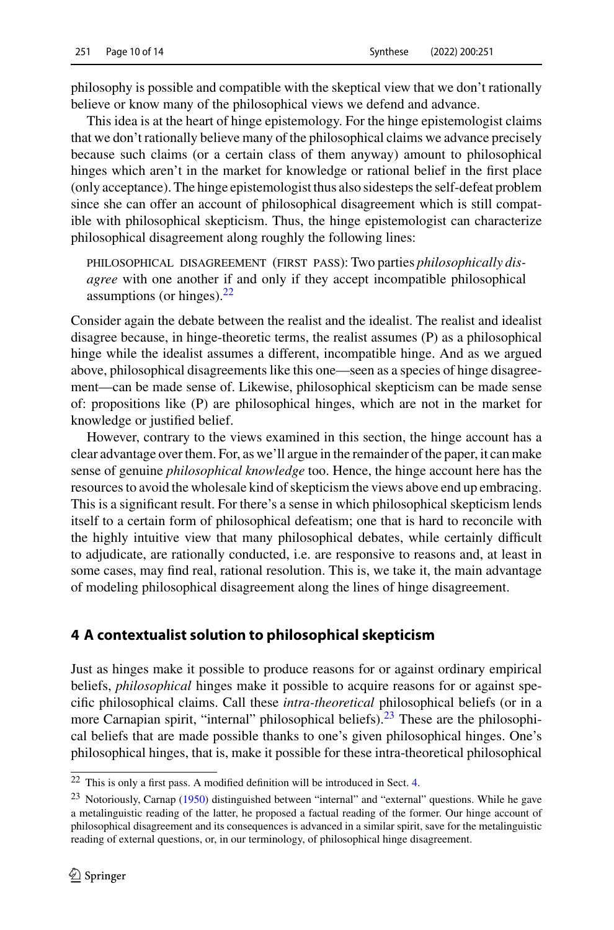philosophy is possible and compatible with the skeptical view that we don't rationally believe or know many of the philosophical views we defend and advance.

This idea is at the heart of hinge epistemology. For the hinge epistemologist claims that we don't rationally believe many of the philosophical claims we advance precisely because such claims (or a certain class of them anyway) amount to philosophical hinges which aren't in the market for knowledge or rational belief in the first place (only acceptance). The hinge epistemologist thus also sidesteps the self-defeat problem since she can offer an account of philosophical disagreement which is still compatible with philosophical skepticism. Thus, the hinge epistemologist can characterize philosophical disagreement along roughly the following lines:

PHILOSOPHICAL DISAGREEMENT (FIRST PASS): Two parties *philosophically disagree* with one another if and only if they accept incompatible philosophical assumptions (or hinges). $^{22}$  $^{22}$  $^{22}$ 

Consider again the debate between the realist and the idealist. The realist and idealist disagree because, in hinge-theoretic terms, the realist assumes (P) as a philosophical hinge while the idealist assumes a different, incompatible hinge. And as we argued above, philosophical disagreements like this one—seen as a species of hinge disagreement—can be made sense of. Likewise, philosophical skepticism can be made sense of: propositions like (P) are philosophical hinges, which are not in the market for knowledge or justified belief.

However, contrary to the views examined in this section, the hinge account has a clear advantage over them. For, as we'll argue in the remainder of the paper, it can make sense of genuine *philosophical knowledge* too. Hence, the hinge account here has the resources to avoid the wholesale kind of skepticism the views above end up embracing. This is a significant result. For there's a sense in which philosophical skepticism lends itself to a certain form of philosophical defeatism; one that is hard to reconcile with the highly intuitive view that many philosophical debates, while certainly difficult to adjudicate, are rationally conducted, i.e. are responsive to reasons and, at least in some cases, may find real, rational resolution. This is, we take it, the main advantage of modeling philosophical disagreement along the lines of hinge disagreement.

## <span id="page-9-0"></span>**4 A contextualist solution to philosophical skepticism**

Just as hinges make it possible to produce reasons for or against ordinary empirical beliefs, *philosophical* hinges make it possible to acquire reasons for or against specific philosophical claims. Call these *intra-theoretical* philosophical beliefs (or in a more Carnapian spirit, "internal" philosophical beliefs). $^{23}$  $^{23}$  $^{23}$  These are the philosophical beliefs that are made possible thanks to one's given philosophical hinges. One's philosophical hinges, that is, make it possible for these intra-theoretical philosophical

<span id="page-9-2"></span><span id="page-9-1"></span><sup>22</sup> This is only a first pass. A modified definition will be introduced in Sect. [4.](#page-9-0)

<sup>&</sup>lt;sup>23</sup> Notoriously, Carnap [\(1950\)](#page-12-15) distinguished between "internal" and "external" questions. While he gave a metalinguistic reading of the latter, he proposed a factual reading of the former. Our hinge account of philosophical disagreement and its consequences is advanced in a similar spirit, save for the metalinguistic reading of external questions, or, in our terminology, of philosophical hinge disagreement.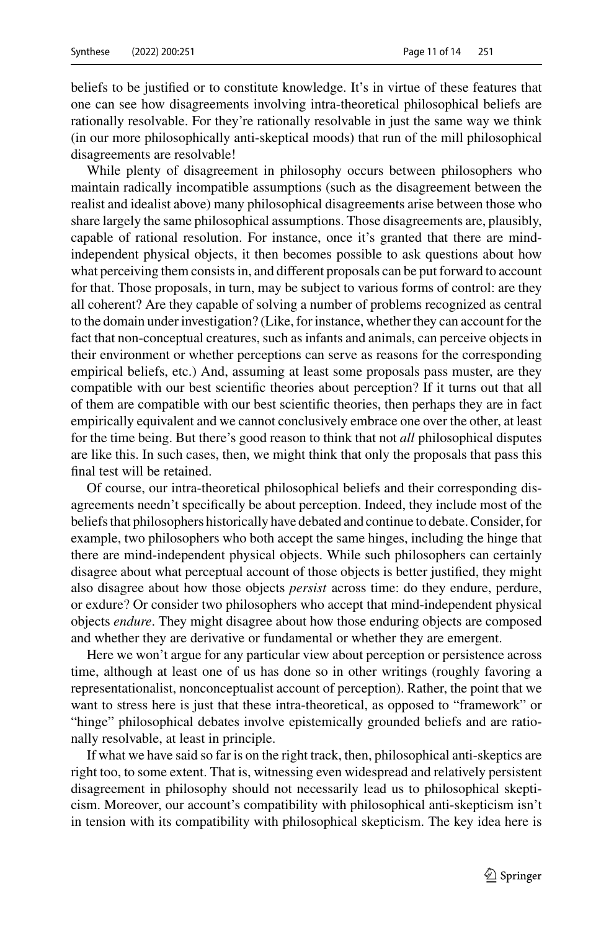beliefs to be justified or to constitute knowledge. It's in virtue of these features that one can see how disagreements involving intra-theoretical philosophical beliefs are rationally resolvable. For they're rationally resolvable in just the same way we think (in our more philosophically anti-skeptical moods) that run of the mill philosophical disagreements are resolvable!

While plenty of disagreement in philosophy occurs between philosophers who maintain radically incompatible assumptions (such as the disagreement between the realist and idealist above) many philosophical disagreements arise between those who share largely the same philosophical assumptions. Those disagreements are, plausibly, capable of rational resolution. For instance, once it's granted that there are mindindependent physical objects, it then becomes possible to ask questions about how what perceiving them consists in, and different proposals can be put forward to account for that. Those proposals, in turn, may be subject to various forms of control: are they all coherent? Are they capable of solving a number of problems recognized as central to the domain under investigation? (Like, for instance, whether they can account for the fact that non-conceptual creatures, such as infants and animals, can perceive objects in their environment or whether perceptions can serve as reasons for the corresponding empirical beliefs, etc.) And, assuming at least some proposals pass muster, are they compatible with our best scientific theories about perception? If it turns out that all of them are compatible with our best scientific theories, then perhaps they are in fact empirically equivalent and we cannot conclusively embrace one over the other, at least for the time being. But there's good reason to think that not *all* philosophical disputes are like this. In such cases, then, we might think that only the proposals that pass this final test will be retained.

Of course, our intra-theoretical philosophical beliefs and their corresponding disagreements needn't specifically be about perception. Indeed, they include most of the beliefs that philosophers historically have debated and continue to debate. Consider, for example, two philosophers who both accept the same hinges, including the hinge that there are mind-independent physical objects. While such philosophers can certainly disagree about what perceptual account of those objects is better justified, they might also disagree about how those objects *persist* across time: do they endure, perdure, or exdure? Or consider two philosophers who accept that mind-independent physical objects *endure*. They might disagree about how those enduring objects are composed and whether they are derivative or fundamental or whether they are emergent.

Here we won't argue for any particular view about perception or persistence across time, although at least one of us has done so in other writings (roughly favoring a representationalist, nonconceptualist account of perception). Rather, the point that we want to stress here is just that these intra-theoretical, as opposed to "framework" or "hinge" philosophical debates involve epistemically grounded beliefs and are rationally resolvable, at least in principle.

If what we have said so far is on the right track, then, philosophical anti-skeptics are right too, to some extent. That is, witnessing even widespread and relatively persistent disagreement in philosophy should not necessarily lead us to philosophical skepticism. Moreover, our account's compatibility with philosophical anti-skepticism isn't in tension with its compatibility with philosophical skepticism. The key idea here is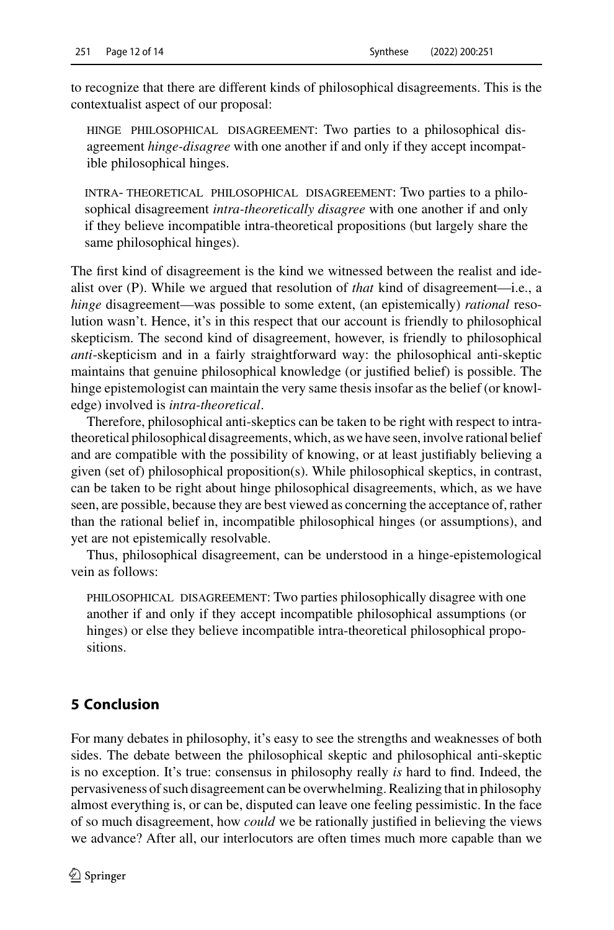to recognize that there are different kinds of philosophical disagreements. This is the contextualist aspect of our proposal:

hinge philosophical disagreement: Two parties to a philosophical disagreement *hinge-disagree* with one another if and only if they accept incompatible philosophical hinges.

intra- theoretical philosophical disagreement: Two parties to a philosophical disagreement *intra-theoretically disagree* with one another if and only if they believe incompatible intra-theoretical propositions (but largely share the same philosophical hinges).

The first kind of disagreement is the kind we witnessed between the realist and idealist over (P). While we argued that resolution of *that* kind of disagreement—i.e., a *hinge* disagreement—was possible to some extent, (an epistemically) *rational* resolution wasn't. Hence, it's in this respect that our account is friendly to philosophical skepticism. The second kind of disagreement, however, is friendly to philosophical *anti*-skepticism and in a fairly straightforward way: the philosophical anti-skeptic maintains that genuine philosophical knowledge (or justified belief) is possible. The hinge epistemologist can maintain the very same thesis insofar as the belief (or knowledge) involved is *intra-theoretical*.

Therefore, philosophical anti-skeptics can be taken to be right with respect to intratheoretical philosophical disagreements, which, as we have seen, involve rational belief and are compatible with the possibility of knowing, or at least justifiably believing a given (set of) philosophical proposition(s). While philosophical skeptics, in contrast, can be taken to be right about hinge philosophical disagreements, which, as we have seen, are possible, because they are best viewed as concerning the acceptance of, rather than the rational belief in, incompatible philosophical hinges (or assumptions), and yet are not epistemically resolvable.

Thus, philosophical disagreement, can be understood in a hinge-epistemological vein as follows:

PHILOSOPHICAL DISAGREEMENT: Two parties philosophically disagree with one another if and only if they accept incompatible philosophical assumptions (or hinges) or else they believe incompatible intra-theoretical philosophical propositions.

## <span id="page-11-0"></span>**5 Conclusion**

For many debates in philosophy, it's easy to see the strengths and weaknesses of both sides. The debate between the philosophical skeptic and philosophical anti-skeptic is no exception. It's true: consensus in philosophy really *is* hard to find. Indeed, the pervasiveness of such disagreement can be overwhelming. Realizing that in philosophy almost everything is, or can be, disputed can leave one feeling pessimistic. In the face of so much disagreement, how *could* we be rationally justified in believing the views we advance? After all, our interlocutors are often times much more capable than we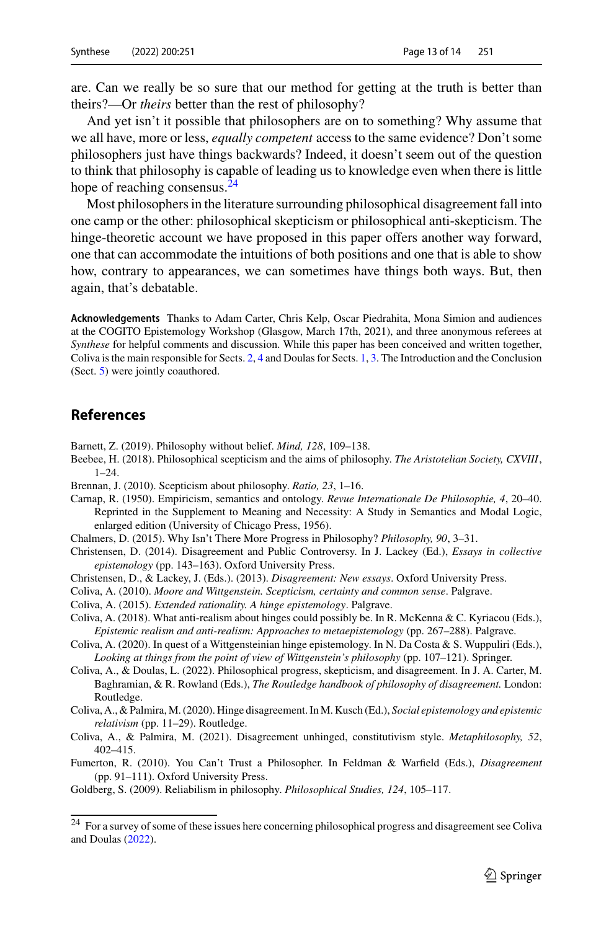are. Can we really be so sure that our method for getting at the truth is better than theirs?—Or *theirs* better than the rest of philosophy?

And yet isn't it possible that philosophers are on to something? Why assume that we all have, more or less, *equally competent* access to the same evidence? Don't some philosophers just have things backwards? Indeed, it doesn't seem out of the question to think that philosophy is capable of leading us to knowledge even when there is little hope of reaching consensus.<sup>24</sup>

Most philosophers in the literature surrounding philosophical disagreement fall into one camp or the other: philosophical skepticism or philosophical anti-skepticism. The hinge-theoretic account we have proposed in this paper offers another way forward, one that can accommodate the intuitions of both positions and one that is able to show how, contrary to appearances, we can sometimes have things both ways. But, then again, that's debatable.

**Acknowledgements** Thanks to Adam Carter, Chris Kelp, Oscar Piedrahita, Mona Simion and audiences at the COGITO Epistemology Workshop (Glasgow, March 17th, 2021), and three anonymous referees at *Synthese* for helpful comments and discussion. While this paper has been conceived and written together, Coliva is the main responsible for Sects. [2,](#page-4-0) [4](#page-9-0) and Doulas for Sects. [1,](#page-2-1) [3.](#page-7-0) The Introduction and the Conclusion (Sect. [5\)](#page-11-0) were jointly coauthored.

### **References**

<span id="page-12-6"></span>Barnett, Z. (2019). Philosophy without belief. *Mind, 128*, 109–138.

- <span id="page-12-2"></span>Beebee, H. (2018). Philosophical scepticism and the aims of philosophy. *The Aristotelian Society, CXVIII*, 1–24.
- <span id="page-12-3"></span>Brennan, J. (2010). Scepticism about philosophy. *Ratio, 23*, 1–16.

<span id="page-12-15"></span>Carnap, R. (1950). Empiricism, semantics and ontology. *Revue Internationale De Philosophie, 4*, 20–40. Reprinted in the Supplement to Meaning and Necessity: A Study in Semantics and Modal Logic, enlarged edition (University of Chicago Press, 1956).

<span id="page-12-7"></span>Chalmers, D. (2015). Why Isn't There More Progress in Philosophy? *Philosophy, 90*, 3–31.

- <span id="page-12-1"></span>Christensen, D. (2014). Disagreement and Public Controversy. In J. Lackey (Ed.), *Essays in collective epistemology* (pp. 143–163). Oxford University Press.
- <span id="page-12-0"></span>Christensen, D., & Lackey, J. (Eds.). (2013). *Disagreement: New essays*. Oxford University Press.
- <span id="page-12-9"></span>Coliva, A. (2010). *Moore and Wittgenstein. Scepticism, certainty and common sense*. Palgrave.
- <span id="page-12-10"></span>Coliva, A. (2015). *Extended rationality. A hinge epistemology*. Palgrave.
- <span id="page-12-11"></span>Coliva, A. (2018). What anti-realism about hinges could possibly be. In R. McKenna & C. Kyriacou (Eds.), *Epistemic realism and anti-realism: Approaches to metaepistemology* (pp. 267–288). Palgrave.
- <span id="page-12-12"></span>Coliva, A. (2020). In quest of a Wittgensteinian hinge epistemology. In N. Da Costa & S. Wuppuliri (Eds.), *Looking at things from the point of view of Wittgenstein's philosophy* (pp. 107–121). Springer.
- <span id="page-12-8"></span>Coliva, A., & Doulas, L. (2022). Philosophical progress, skepticism, and disagreement. In J. A. Carter, M. Baghramian, & R. Rowland (Eds.), *The Routledge handbook of philosophy of disagreement.* London: Routledge.
- <span id="page-12-13"></span>Coliva, A., & Palmira,M. (2020). Hinge disagreement. In M. Kusch (Ed.), *Social epistemology and epistemic relativism* (pp. 11–29). Routledge.
- <span id="page-12-14"></span>Coliva, A., & Palmira, M. (2021). Disagreement unhinged, constitutivism style. *Metaphilosophy, 52*, 402–415.
- <span id="page-12-4"></span>Fumerton, R. (2010). You Can't Trust a Philosopher. In Feldman & Warfield (Eds.), *Disagreement* (pp. 91–111). Oxford University Press.

<span id="page-12-5"></span>Goldberg, S. (2009). Reliabilism in philosophy. *Philosophical Studies, 124*, 105–117.

<span id="page-12-16"></span><sup>24</sup> For a survey of some of these issues here concerning philosophical progress and disagreement see Coliva and Doulas [\(2022\)](#page-12-8).